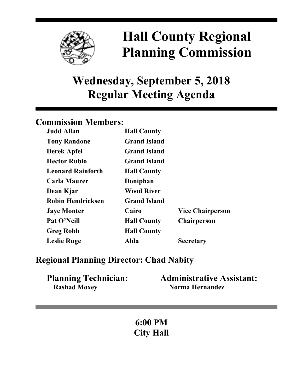

# **Hall County Regional Planning Commission**

## **Wednesday, September 5, 2018 Regular Meeting Agenda**

## **Commission Members:**

| <b>Judd Allan</b>        | <b>Hall County</b>  |                         |
|--------------------------|---------------------|-------------------------|
| <b>Tony Randone</b>      | <b>Grand Island</b> |                         |
| <b>Derek Apfel</b>       | <b>Grand Island</b> |                         |
| <b>Hector Rubio</b>      | <b>Grand Island</b> |                         |
| <b>Leonard Rainforth</b> | <b>Hall County</b>  |                         |
| <b>Carla Maurer</b>      | Doniphan            |                         |
| Dean Kjar                | <b>Wood River</b>   |                         |
| <b>Robin Hendricksen</b> | <b>Grand Island</b> |                         |
| <b>Jaye Monter</b>       | Cairo               | <b>Vice Chairperson</b> |
| Pat O'Neill              | <b>Hall County</b>  | <b>Chairperson</b>      |
| <b>Greg Robb</b>         | <b>Hall County</b>  |                         |
| <b>Leslie Ruge</b>       | Alda                | <b>Secretary</b>        |

## **Regional Planning Director: Chad Nabity**

| <b>Planning Technician:</b> | <b>Administrative Assistant:</b> |
|-----------------------------|----------------------------------|
| <b>Rashad Moxey</b>         | Norma Hernandez                  |

**6:00 PM City Hall**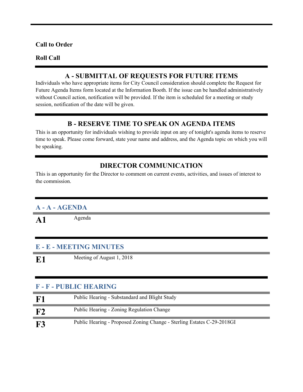#### **Call to Order**

#### **Roll Call**

#### **A - SUBMITTAL OF REQUESTS FOR FUTURE ITEMS**

Individuals who have appropriate items for City Council consideration should complete the Request for Future Agenda Items form located at the Information Booth. If the issue can be handled administratively without Council action, notification will be provided. If the item is scheduled for a meeting or study session, notification of the date will be given.

#### **B - RESERVE TIME TO SPEAK ON AGENDA ITEMS**

This is an opportunity for individuals wishing to provide input on any of tonight's agenda items to reserve time to speak. Please come forward, state your name and address, and the Agenda topic on which you will be speaking.

#### **DIRECTOR COMMUNICATION**

This is an opportunity for the Director to comment on current events, activities, and issues of interest to the commission.

#### **A - A - AGENDA**

A1 Agenda

#### **E - E - MEETING MINUTES**

**E1** Meeting of August 1, 2018

#### **F - F - PUBLIC HEARING**

| ${\bf F1}$ | Public Hearing - Substandard and Blight Study                          |
|------------|------------------------------------------------------------------------|
| F2         | <b>Public Hearing - Zoning Regulation Change</b>                       |
| <b>F3</b>  | Public Hearing - Proposed Zoning Change - Sterling Estates C-29-2018GI |